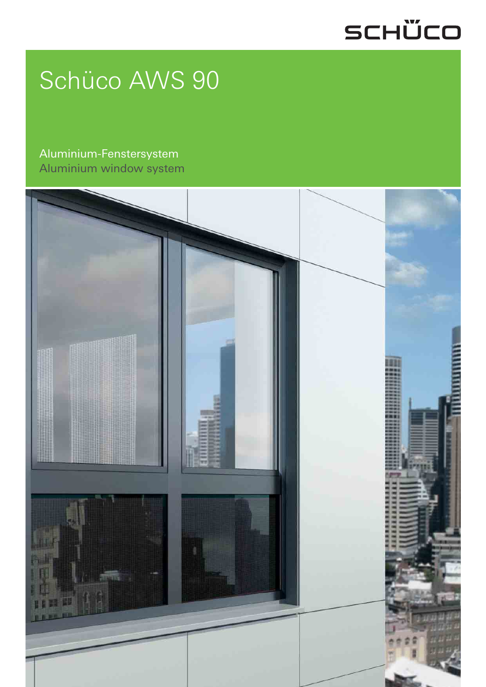## SCHÜCO

# Schüco AWS 90

Aluminium-Fenstersystem Aluminium window system

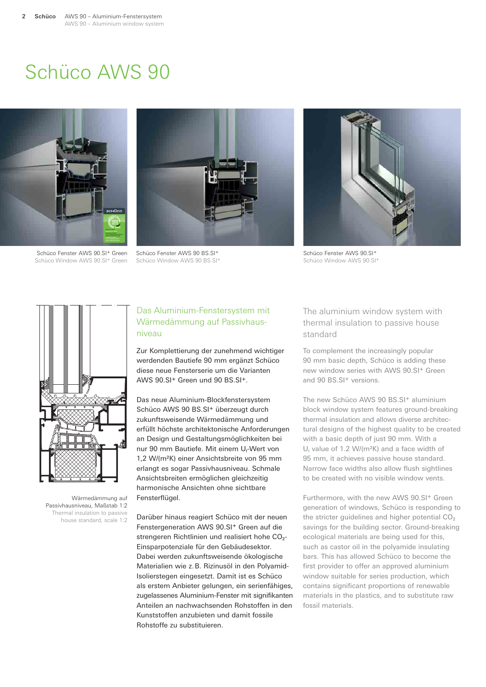### Schüco AWS 90





Schüco Fenster AWS 90.SI<sup>+</sup> Green Schüco Window AWS 90.SI+ Green

Schüco Fenster AWS 90 BS.SI+ Schüco Window AWS 90 BS.SI+



Schüco Fenster AWS 90.SI+ Schüco Window AWS 90.SI+



Wärmedämmung auf Passivhausniveau, Maßstab 1:2 Thermal insulation to passive house standard, scale 1:2

#### Das Aluminium-Fenstersystem mit Wärmedämmung auf Passivhausniveau

Zur Komplettierung der zunehmend wichtiger werdenden Bautiefe 90 mm ergänzt Schüco diese neue Fensterserie um die Varianten AWS 90.SI+ Green und 90 BS.SI+.

Das neue Aluminium-Blockfenstersystem Schüco AWS 90 BS.SI+ überzeugt durch zukunftsweisende Wärmedämmung und erfüllt höchste architektonische Anforderungen an Design und Gestaltungsmöglichkeiten bei nur 90 mm Bautiefe. Mit einem U<sub>f</sub>-Wert von 1,2 W/(m2K) einer Ansichtsbreite von 95 mm erlangt es sogar Passivhausniveau. Schmale Ansichtsbreiten ermöglichen gleichzeitig harmonische Ansichten ohne sichtbare Fensterflügel.

Darüber hinaus reagiert Schüco mit der neuen Fenstergeneration AWS 90.SI+ Green auf die strengeren Richtlinien und realisiert hohe CO<sub>2</sub>-Einsparpotenziale für den Gebäudesektor. Dabei werden zukunftsweisende ökologische Materialien wie z. B. Rizinusöl in den Polyamid-Isolierstegen eingesetzt. Damit ist es Schüco als erstem Anbieter gelungen, ein serienfähiges, zugelassenes Aluminium-Fenster mit signifikanten Anteilen an nachwachsenden Rohstoffen in den Kunststoffen anzubieten und damit fossile Rohstoffe zu substituieren.

The aluminium window system with thermal insulation to passive house standard

To complement the increasingly popular 90 mm basic depth, Schüco is adding these new window series with AWS 90.SI+ Green and 90 BS.SI<sup>+</sup> versions.

The new Schüco AWS 90 BS.SI<sup>+</sup> aluminium block window system features ground-breaking thermal insulation and allows diverse architectural designs of the highest quality to be created with a basic depth of just 90 mm. With a  $U_f$  value of 1.2 W/(m<sup>2</sup>K) and a face width of 95 mm, it achieves passive house standard. Narrow face widths also allow flush sightlines to be created with no visible window vents.

Furthermore, with the new AWS 90.SI<sup>+</sup> Green generation of windows, Schüco is responding to the stricter guidelines and higher potential  $CO<sub>2</sub>$ savings for the building sector. Ground-breaking ecological materials are being used for this, such as castor oil in the polyamide insulating bars. This has allowed Schüco to become the first provider to offer an approved aluminium window suitable for series production, which contains significant proportions of renewable materials in the plastics, and to substitute raw fossil materials.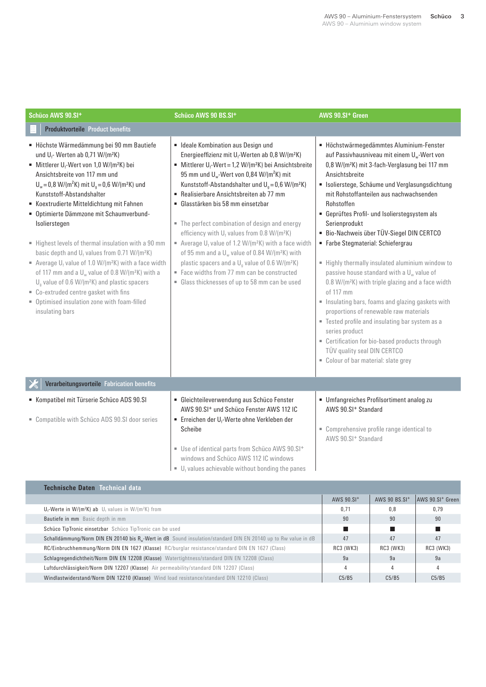| Schüco AWS 90.SI+                                                                                                                                                                                                                                                                                                                                                                                                                                                                                                                                                                                                                                                                                                                                                                                                                                             | Schüco AWS 90 BS.SI+                                                                                                                                                                                                                                                                                                                                                                                                                                                                                                                                                                                                                                                                                                                                                                                                                                        | AWS 90.SI <sup>+</sup> Green                                                                                                                                                                                                                                                                                                                                                                                                                                                                                                                                                                                                                                                                                                                                                                                                                                                                                             |  |  |  |
|---------------------------------------------------------------------------------------------------------------------------------------------------------------------------------------------------------------------------------------------------------------------------------------------------------------------------------------------------------------------------------------------------------------------------------------------------------------------------------------------------------------------------------------------------------------------------------------------------------------------------------------------------------------------------------------------------------------------------------------------------------------------------------------------------------------------------------------------------------------|-------------------------------------------------------------------------------------------------------------------------------------------------------------------------------------------------------------------------------------------------------------------------------------------------------------------------------------------------------------------------------------------------------------------------------------------------------------------------------------------------------------------------------------------------------------------------------------------------------------------------------------------------------------------------------------------------------------------------------------------------------------------------------------------------------------------------------------------------------------|--------------------------------------------------------------------------------------------------------------------------------------------------------------------------------------------------------------------------------------------------------------------------------------------------------------------------------------------------------------------------------------------------------------------------------------------------------------------------------------------------------------------------------------------------------------------------------------------------------------------------------------------------------------------------------------------------------------------------------------------------------------------------------------------------------------------------------------------------------------------------------------------------------------------------|--|--|--|
| <b>Produktvorteile Product benefits</b>                                                                                                                                                                                                                                                                                                                                                                                                                                                                                                                                                                                                                                                                                                                                                                                                                       |                                                                                                                                                                                                                                                                                                                                                                                                                                                                                                                                                                                                                                                                                                                                                                                                                                                             |                                                                                                                                                                                                                                                                                                                                                                                                                                                                                                                                                                                                                                                                                                                                                                                                                                                                                                                          |  |  |  |
| Höchste Wärmedämmung bei 90 mm Bautiefe<br>und U <sub>f</sub> -Werten ab 0,71 W/(m <sup>2</sup> K)<br>Mittlerer U <sub>f</sub> -Wert von 1,0 W/(m <sup>2</sup> K) bei<br>Ansichtsbreite von 117 mm und<br>$U_w = 0.8$ W/(m <sup>2</sup> K) mit $U_q = 0.6$ W/(m <sup>2</sup> K) und<br>Kunststoff-Abstandshalter<br>Koextrudierte Mitteldichtung mit Fahnen<br>• Optimierte Dämmzone mit Schaumverbund-<br>Isolierstegen<br>Highest levels of thermal insulation with a 90 mm<br>basic depth and $U_f$ values from 0.71 W/(m <sup>2</sup> K)<br>Average $U_f$ value of 1.0 W/(m <sup>2</sup> K) with a face width<br>of 117 mm and a $U_w$ value of 0.8 W/(m <sup>2</sup> K) with a<br>$Ua$ value of 0.6 W/(m <sup>2</sup> K) and plastic spacers<br>" Co-extruded centre gasket with fins<br>• Optimised insulation zone with foam-filled<br>insulating bars | • Ideale Kombination aus Design und<br>Energieeffizienz mit U <sub>f</sub> -Werten ab 0,8 W/(m <sup>2</sup> K)<br>Mittlerer U <sub>f</sub> -Wert = 1,2 W/(m <sup>2</sup> K) bei Ansichtsbreite<br>95 mm und U <sub>w</sub> -Wert von 0,84 W/(m <sup>2</sup> K) mit<br>Kunststoff-Abstandshalter und $U_g = 0.6$ W/(m <sup>2</sup> K)<br>Realisierbare Ansichtsbreiten ab 77 mm<br>• Glasstärken bis 58 mm einsetzbar<br>• The perfect combination of design and energy<br>efficiency with U <sub>f</sub> values from 0.8 W/(m <sup>2</sup> K)<br>Average $U_f$ value of 1.2 W/(m <sup>2</sup> K) with a face width<br>of 95 mm and a $U_w$ value of 0.84 W/(m <sup>2</sup> K) with<br>plastic spacers and a U <sub>a</sub> value of 0.6 W/(m <sup>2</sup> K)<br>Face widths from 77 mm can be constructed<br>• Glass thicknesses of up to 58 mm can be used | · Höchstwärmegedämmtes Aluminium-Fenster<br>auf Passivhausniveau mit einem U <sub>w</sub> -Wert von<br>0,8 W/(m <sup>2</sup> K) mit 3-fach-Verglasung bei 117 mm<br>Ansichtsbreite<br>· Isolierstege, Schäume und Verglasungsdichtung<br>mit Rohstoffanteilen aus nachwachsenden<br>Rohstoffen<br>• Geprüftes Profil- und Isolierstegsystem als<br>Serienprodukt<br>Bio-Nachweis über TÜV-Siegel DIN CERTCO<br>Farbe Stegmaterial: Schiefergrau<br>Highly thermally insulated aluminium window to<br>passive house standard with a $U_w$ value of<br>0.8 W/(m <sup>2</sup> K) with triple glazing and a face width<br>of 117 mm<br>Insulating bars, foams and glazing gaskets with<br>proportions of renewable raw materials<br>" Tested profile and insulating bar system as a<br>series product<br>" Certification for bio-based products through<br>TÜV quality seal DIN CERTCO<br>Colour of bar material: slate grey |  |  |  |
| Verarbeitungsvorteile Fabrication benefits                                                                                                                                                                                                                                                                                                                                                                                                                                                                                                                                                                                                                                                                                                                                                                                                                    |                                                                                                                                                                                                                                                                                                                                                                                                                                                                                                                                                                                                                                                                                                                                                                                                                                                             |                                                                                                                                                                                                                                                                                                                                                                                                                                                                                                                                                                                                                                                                                                                                                                                                                                                                                                                          |  |  |  |
| Kompatibel mit Türserie Schüco ADS 90.SI<br>" Compatible with Schüco ADS 90.SI door series                                                                                                                                                                                                                                                                                                                                                                                                                                                                                                                                                                                                                                                                                                                                                                    | • Gleichteileverwendung aus Schüco Fenster<br>AWS 90.SI <sup>+</sup> und Schüco Fenster AWS 112 IC<br>Erreichen der U <sub>f</sub> -Werte ohne Verkleben der<br>Scheibe<br>Use of identical parts from Schüco AWS 90.SI <sup>+</sup><br>windows and Schüco AWS 112 IC windows                                                                                                                                                                                                                                                                                                                                                                                                                                                                                                                                                                               | • Umfangreiches Profilsortiment analog zu<br>AWS 90.SI <sup>+</sup> Standard<br>• Comprehensive profile range identical to<br>AWS 90.SI <sup>+</sup> Standard                                                                                                                                                                                                                                                                                                                                                                                                                                                                                                                                                                                                                                                                                                                                                            |  |  |  |

 $\blacksquare$  U<sub>f</sub> values achievable without bonding the panes

İ

| Technische Daten Technical data                                                                                            |                  |                           |                              |  |
|----------------------------------------------------------------------------------------------------------------------------|------------------|---------------------------|------------------------------|--|
|                                                                                                                            | $AWS$ 90. $SI$ + | AWS 90 BS.SI <sup>+</sup> | AWS 90.SI <sup>+</sup> Green |  |
| $U_f$ -Werte in W/(m <sup>2</sup> K) ab $U_f$ values in W/(m <sup>2</sup> K) from                                          |                  | 0.8                       | 0.79                         |  |
| Bautiefe in mm Basic depth in mm                                                                                           |                  | 90                        | 90                           |  |
| Schüco TipTronic einsetzbar Schüco TipTronic can be used                                                                   |                  |                           |                              |  |
| Schalldämmung/Norm DIN EN 20140 bis R <sub>w</sub> -Wert in dB Sound insulation/standard DIN EN 20140 up to Rw value in dB |                  | 47                        | 47                           |  |
| RC/Einbruchhemmung/Norm DIN EN 1627 (Klasse) RC/burglar resistance/standard DIN EN 1627 (Class)                            |                  | RC3 (WK3)                 | RC3 (WK3)                    |  |
| Schlagregendichtheit/Norm DIN EN 12208 (Klasse) Watertightness/standard DIN EN 12208 (Class)                               |                  | 9a                        | 9a                           |  |
| Luftdurchlässigkeit/Norm DIN 12207 (Klasse) Air permeability/standard DIN 12207 (Class)                                    |                  |                           |                              |  |
| Windlastwiderstand/Norm DIN 12210 (Klasse) Wind load resistance/standard DIN 12210 (Class)                                 |                  | C5/B5                     | C5/B5                        |  |